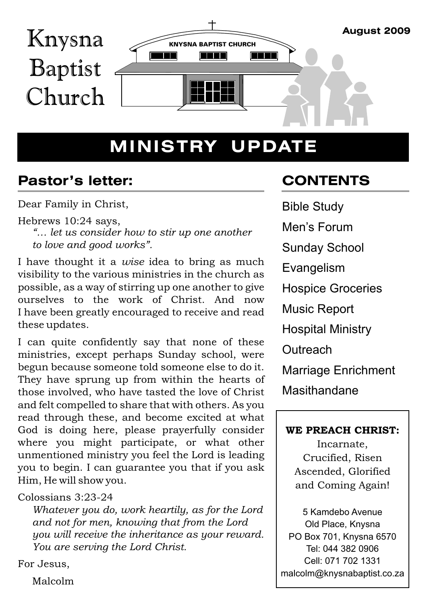

## **MINISTRY UPDATE**

## **Pastor's letter:**

Dear Family in Christ,

Hebrews 10:24 says,

*"… let us consider how to stir up one another to love and good works".*

I have thought it a *wise* idea to bring as much visibility to the various ministries in the church as possible, as a way of stirring up one another to give ourselves to the work of Christ. And now I have been greatly encouraged to receive and read these updates.

I can quite confidently say that none of these ministries, except perhaps Sunday school, were begun because someone told someone else to do it. They have sprung up from within the hearts of those involved, who have tasted the love of Christ and felt compelled to share that with others. As you read through these, and become excited at what God is doing here, please prayerfully consider where you might participate, or what other unmentioned ministry you feel the Lord is leading you to begin. I can guarantee you that if you ask Him, He will show you.

## Colossians 3:23-24

*Whatever you do, work heartily, as for the Lord and not for men, knowing that from the Lord you will receive the inheritance as your reward. You are serving the Lord Christ.*

For Jesus,

Malcolm

## **C O NTENTS**

Bible Study Men's Forum Sunday School Evangelism Hospice Groceries Music Report Hospital Ministry **Outreach** Marriage Enrichment Masithandane

## WE PREACH CHRIST:

Incarnate, Crucified, Risen Ascended, Glorified and Coming Again!

5 Kamdebo Avenue Old Place, Knysna PO Box 701, Knysna 6570 Tel: 044 382 0906 Cell: 071 702 1331 malcolm@knysnabaptist.co.za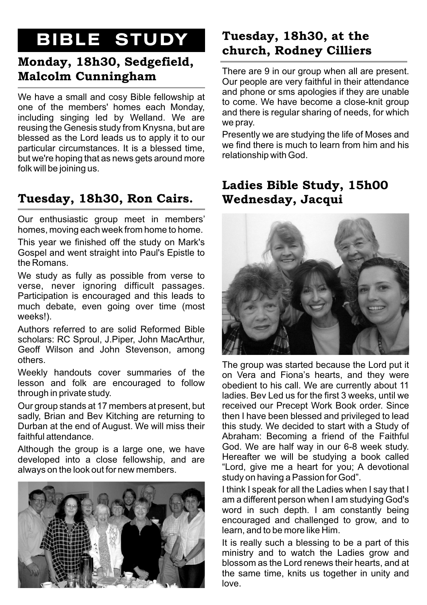## **BIBLE STUDY**

## Monday, 18h30, Sedgefield,

We have a small and cosy Bible fellowship at one of the members' homes each Monday, including singing led by Welland. We are reusing the Genesis study from Knysna, but are Presently we are studying the life of Moses and<br>blessed as the Lord leads us to apply it to our<br>we find there is much to learn from him and his particular circumstances. It is a blessed time, we find there is much<br>but we're bening that as nowe gate cround more relationship with God. but we're hoping that as news gets around more folk will be joining us.

## Tuesday, 18h30, Ron Cairs. Wednesday, Jacqui

Our enthusiastic group meet in members' homes, moving each week from home to home.

This year we finished off the study on Mark's Gospel and went straight into Paul's Epistle to the Romans.

We study as fully as possible from verse to verse, never ignoring difficult passages. Participation is encouraged and this leads to much debate, even going over time (most weeks!).

Authors referred to are solid Reformed Bible scholars: RC Sproul, J.Piper, John MacArthur, Geoff Wilson and John Stevenson, among others.

Weekly handouts cover summaries of the  $\overline{a}$  on Vera and Fiona's hearts, and they were lesson and folk are encouraged to follow  $\overline{a}$  obedient to his call We are currently about 11 through in private study.

Our group stands at 17 members at present, but received our Precept Work Book order. Since sadly, Brian and Bev Kitching are returning to then I have been blessed and privileged to lead<br>Durban at the end of August. We will miss their this study. We decided to start with a Study of Durban at the end of August. We will miss their faithful attendance

developed into a close fellowship, and are Hereafter we will be studying a book called always on the look out for new members. "Lord, give me a heart for you; A devotional



## Tuesday, 18h30, at the church. Rodnev Cilliers

There are 9 in our group when all are present. **Malcolm Cunningham**<br>Our people are very faithful in their attendance<br>and phone or sms apologies if they are unable to come. We have become a close-knit group and there is regular sharing of needs, for which we pray.

# Ladies Bible Study, 15h00



The group was started because the Lord put it obedient to his call. We are currently about 11 ladies. Bev Led us for the first 3 weeks, until we Abraham: Becoming a friend of the Faithful<br>God. We are half way in our 6-8 week study. Although the group is a large one, we have Cod. We are half way in our 6-8 week study. study on having a Passion for God".

> I think I speak for all the Ladies when I say that I am a different person when I am studying God's word in such depth. I am constantly being encouraged and challenged to grow, and to learn, and to be more like Him.

> It is really such a blessing to be a part of this ministry and to watch the Ladies grow and blossom as the Lord renews their hearts, and at the same time, knits us together in unity and love.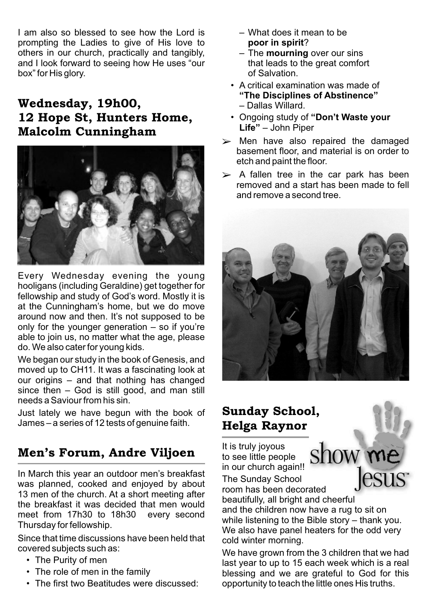I am also so blessed to see how the Lord is  $-$  What does it mean to be prompting the Ladies to give of His love to **poor in spirit**? others in our church, practically and tangibly,  $-$  The **mourning** over our sins and I look forward to seeing how He uses "our that leads to the great comfort and I look forward to seeing how He uses "our box" for His glory.  $\qquad \qquad$  of Salvation.

## **and**  $\overline{\phantom{a}}$  **and**  $\overline{\phantom{a}}$  **ballas Willard.** 12 Hope St, Hunters Home, **• Ongoing study of "Don't Waste your Malcolm Cunningham**



Every Wednesday evening the young hooligans (including Geraldine) get together for fellowship and study of God's word. Mostly it is at the Cunningham's home, but we do move around now and then. It's not supposed to be only for the younger generation – so if you're able to join us, no matter what the age, please do. We also cater for young kids.

We began our study in the book of Genesis, and moved up to CH11. It was a fascinating look at our origins – and that nothing has changed since then – God is still good, and man still needs a Saviour from his sin.

Just lately we have begun with the book of **Sunday School,** James – a series of 12 tests of genuine faith. **Helga Raynor** 

## **Men's Forum, Andre Viljoen** to see little people

In March this year an outdoor men's breakfast was planned, cooked and enjoyed by about 13 men of the church. At a short meeting after the breakfast it was decided that men would and the children now have a rug to sit on meet from 17h30 to 18h30 every second

Since that time discussions have been held that cold winter morning.<br>covered subjects such as:

- 
- 
- 
- 
- 
- A critical examination was made of **"The Disciplines of Abstinence"**
- **Life"** John Piper
- $\triangleright$  Men have also repaired the damaged basement floor, and material is on order to etch and paint the floor.
- $\triangleright$  A fallen tree in the car park has been removed and a start has been made to fell and remove a second tree.



It is truly joyous show me in our church again!! The Sunday School

room has been decorated

beautifully, all bright and cheerful while listening to the Bible story – thank you. Thursday for fellowship.<br>We also have panel heaters for the odd very

esus<sup>®</sup>

vered subjects such as.<br>• The Purity of men example as the subset were to up to 15 each week which is a real • The Purity of men last year to up to 15 each week which is a real<br>• The role of men in the family and the same are arateful to God for this blessing and we are grateful to God for this • The first two Beatitudes were discussed: opportunity to teach the little ones His truths.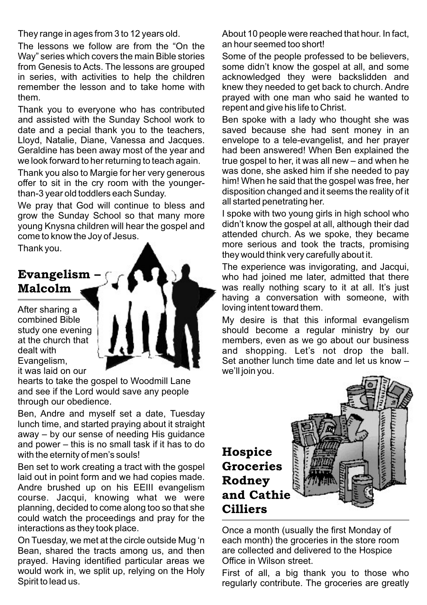The lessons we follow are from the "On the an hour seemed too short! Way" series which covers the main Bible stories Some of the people professed to be believers, from Genesis to Acts. The lessons are grouped some didn't know the gospel at all, and some in series, with activities to help the children acknowledged they were backslidden and in series, with activities to help the children acknowledged they were backslidden and remember the lesson and to take home with knew they needed to get back to church Andre

Thank you to everyone who has contributed repent and give his life to Christ. and assisted with the Sunday School work to Ben spoke with a lady who thought she was date and a pecial thank you to the teachers, saved because she had sent money in an Lloyd, Natalie, Diane, Vanessa and Jacques. envelope to a tele-evangelist, and her prayer Geraldine has been away most of the year and had been answered! When Ben explained the we look forward to her returning to teach again. true gospel to her, it was all new – and when he

offer to sit in the cry room with the youngerthan-3 year old toddlers each Sunday.

We pray that God will continue to bless and all started penetrating her. grow the Sunday School so that many more I spoke with two young girls in high school who<br>voung Knysna children will hear the gospel and didn't know the gospel at all, although their dad young Knysna children will hear the gospel and come to know the Jov of Jesus.

hearts to take the gospel to Woodmill Lane and see if the Lord would save any people through our obedience.

Ben, Andre and myself set a date, Tuesday lunch time, and started praying about it straight away – by our sense of needing His guidance and power – this is no small task if it has to do with the eternity of men's souls!  $Hospice$ 

Ben set to work creating a tract with the gospel Groceries laid out in point form and we had copies made.  $\text{Rodney}$ Andre brushed up on his EEIII evangelism  $\frac{1}{2}$  course. Jacqui, knowing what we were **and Cathie** planning, decided to come along too so that she **Cilliers** could watch the proceedings and pray for the interactions as they took place. Once a month (usually the first Monday of

On Tuesday, we met at the circle outside Mug 'n each month) the groceries in the store room<br>Bean. shared the tracts among us, and then are collected and delivered to the Hospice Bean, shared the tracts among us, and then prayed. Having identified particular areas we Office in Wilson street. would work in, we split up, relying on the Holy First of all, a big thank you to those who<br>Spirit to lead us.

They range in ages from 3 to 12 years old.<br>The Jessons we follow are from the "On the an hour seemed too short!

knew they needed to get back to church. Andre them.<br>Thank you to everyone who has contributed repent and give his life to Christ.

Thank you also to Margie for her very generous was done, she asked him if she needed to pay<br>offer to sit in the cry room with the younger-<br>him! When he said that the gospel was free, her disposition changed and it seems the reality of it

attended church. As we spoke, they became Thank you. they would think very carefully about it.

The experience was invigorating, and Jacqui, **Evangelism –**  $\begin{pmatrix} 1 & 1 \\ 1 & 1 \end{pmatrix}$  who had joined me later, admitted that there **Malcolm**  $\rightarrow$   $\rightarrow$  **M**  $\rightarrow$  **M**  $\rightarrow$  **M** was really nothing scary to it at all. It's just having a conversation with someone, with After sharing a  $\blacksquare$   $\blacksquare$   $\blacksquare$  I loving intent toward them.

combined Bible  $\|\|\|\|\|\|\|\|\|\|\|$  My desire is that this informal evangelism study one evening should become a regular ministry by our at the church that **at the church that**  $\begin{bmatrix} 1 & 1 \\ 1 & 1 \end{bmatrix}$  members, even as we go about our business dealt with dealt with  $\begin{matrix} 1 & 1 \\ 1 & 1 \end{matrix}$  and shopping. Let's not drop the ball.<br>Evangelism, Set another lunch time date and let us know -Set another lunch time date and let us know – it was laid on our we'll join you.



regularly contribute. The groceries are greatly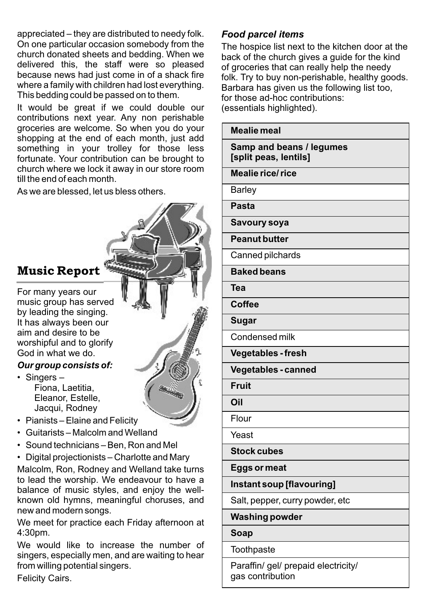appreciated – they are distributed to needy folk. *Food parcel items* On one particular occasion somebody from the The hospice list next to the kitchen door at the<br>Church donated sheets and bedding. When we Thack of the church gives a quide for the kind delivered this, the staff were so pleased of groceries that can really help the needy<br>because news had just come in of a shack fire folk Try to buy non-perishable healthy good because news had just come in of a shack fire folk. Try to buy non-perishable, healthy goods.<br>where a family with children had lost everything. Barbara has given us the following list too. This bedding could be passed on to them.

It would be great if we could double our (essentials highlighted). contributions next year. Any non perishable groceries are welcome. So when you do your shopping at the end of each month, just add something in your trolley for those less fortunate. Your contribution can be brought to church where we lock it away in our store room till the end of each month.

As we are blessed, let us bless others.

## **Music Report**

For many years our music group has served by leading the singing. It has always been our aim and desire to be worshipful and to glorify God in what we do.

### *Our group consists of:*

- Singers Fiona, Laetitia, Eleanor, Estelle, Jacqui, Rodney
- Pianists Elaine and Felicity
- Guitarists Malcolm and Welland
- Sound technicians Ben, Ron and Mel

• Digital projectionists – Charlotte and Mary Malcolm, Ron, Rodney and Welland take turns to lead the worship. We endeavour to have a balance of music styles, and enjoy the wellknown old hymns, meaningful choruses, and new and modern songs.

We meet for practice each Friday afternoon at 4:30pm.

We would like to increase the number of singers, especially men, and are waiting to hear from willing potential singers.

Felicity Cairs.

back of the church gives a guide for the kind Barbara has given us the following list too, for those ad-hoc contributions:

|     | <b>Mealie meal</b>                                       |
|-----|----------------------------------------------------------|
|     | <b>Samp and beans / legumes</b><br>[split peas, lentils] |
|     | <b>Mealie rice/rice</b>                                  |
|     | <b>Barley</b>                                            |
|     | <b>Pasta</b>                                             |
|     | Savoury soya                                             |
|     | <b>Peanut butter</b>                                     |
|     | Canned pilchards                                         |
|     | <b>Baked beans</b>                                       |
| Tea |                                                          |
|     | <b>Coffee</b>                                            |
|     | <b>Sugar</b>                                             |
|     | Condensed milk                                           |
|     | <b>Vegetables - fresh</b>                                |
|     | <b>Vegetables - canned</b>                               |
|     | <b>Fruit</b>                                             |
| Oil |                                                          |
|     | Flour                                                    |
|     | Yeast                                                    |
|     | <b>Stock cubes</b>                                       |
|     | Eggs or meat                                             |
|     | Instant soup [flavouring]                                |
|     | Salt, pepper, curry powder, etc                          |
|     | <b>Washing powder</b>                                    |
|     | Soap                                                     |
|     | Toothpaste                                               |
|     |                                                          |

Paraffin/ gel/ prepaid electricity/ gas contribution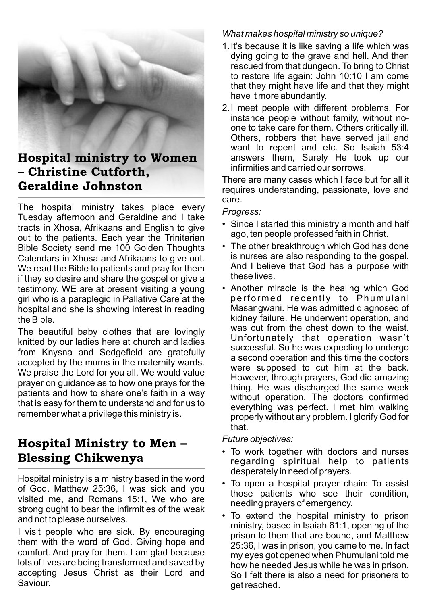

# – Christine Cutforth.

The hospital ministry takes place every Tuesday afternoon and Geraldine and I take tracts in Xhosa, Afrikaans and English to give out to the patients. Each year the Trinitarian Bible Society send me 100 Golden Thoughts • The other breakthrough which God has done<br>Calendars in Xhosa and Afrikaans to give out is nurses are also responding to the gospel. Calendars in Xhosa and Afrikaans to give out. This nurses are also responding to the gospel. We read the Bible to patients and pray for them And I believe that God has a purpose with if they so desire and share the gospel or give a testimony. WE are at present visiting a young • Another miracle is the healing which God airl who is a paraplegic in Pallative Care at the performed recently to Phumulani girl who is a paraplegic in Pallative Care at the performed recently to Phumulani<br>hospital and she is showing interest in reading Masangwani. He was admitted diagnosed of hospital and she is showing interest in reading

The beautiful baby clothes that are lovingly knitted by our ladies here at church and ladies from Knysna and Sedgefield are gratefully accepted by the mums in the maternity wards. accepted by the mains in the materifity wards.<br>We praise the Lord for you all. We would value<br>However, through prayers, God did amazing prayer on guidance as to how one prays for the patients and how to share one's faith in <sup>a</sup> way without operation. The doctors confirmed that is easy for them to understand and for us to

# **Hospital Ministry to Men –** Future objectives:

Hospital ministry is a ministry based in the word of God. Matthew 25:36, I was sick and you visited me, and Romans 15:1, We who are strong ought to bear the infirmities of the weak and not to please ourselves.

I visit people who are sick. By encouraging<br>them with the word of God. Giving hope and<br> $\frac{p}{25.36}$  Jwes in prison vou some to me, In fect comfort. And pray for them. I am glad because my eyes got opened when Phumulani told me lots of lives are being transformed and saved by how he needed Jesus while he was in prison. accepting Jesus Christ as their Lord and So I felt there is also a need for prisoners to<br>Saviour

## *What makes hospital ministry so unique?*

- 1.It's because it is like saving a life which was dying going to the grave and hell. And then rescued from that dungeon. To bring to Christ to restore life again: John 10:10 I am come that they might have life and that they might have it more abundantly.
- 2.I meet people with different problems. For instance people without family, without noone to take care for them. Others critically ill. Others, robbers that have served jail and want to repent and etc. So Isaiah 53:4 **Hospital ministry to Women** answers them, Surely He took up our infirmities and carried our sorrows.

There are many cases which I face but for all it Geraldine Johnston<br>requires understanding, passionate, love and care.

### *Progress:*

- Since I started this ministry a month and half ago, ten people professed faith in Christ.
- these lives.
- the Bible.<br>The besufiful behy alather that are lovingly was cut from the chest down to the waist. Unfortunately that operation wasn't successful. So he was expecting to undergo a second operation and this time the doctors thing. He was discharged the same week everything was perfect. I met him walking remember what a privilege this ministry is.<br>properly without any problem. I glorify God for that.

- *•* To work together with doctors and nurses **Blessing Chikwenya** and the spiritual help to patients desperately in need of prayers.
	- To open a hospital prayer chain: To assist those patients who see their condition, needing prayers of emergency.
	- To extend the hospital ministry to prison ministry, based in Isaiah 61:1, opening of the 25:36, I was in prison, you came to me. In fact get reached.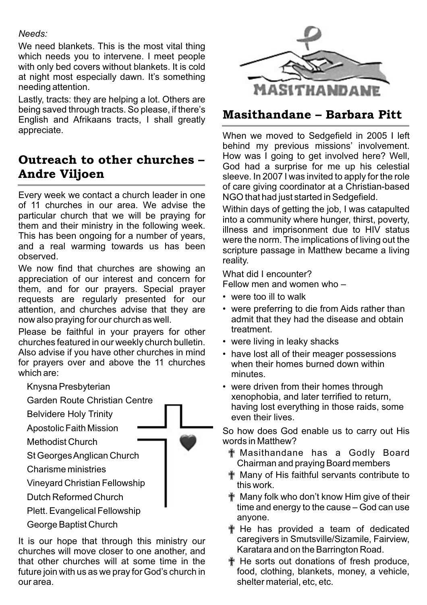## *Needs:*

We need blankets. This is the most vital thing which needs you to intervene. I meet people with only bed covers without blankets. It is cold at night most especially dawn. It's something needing attention.

Lastly, tracts: they are helping a lot. Others are being saved through tracts. So please, if there's Deing saved infough tracts. So please, if there s<br>English and Afrikaans tracts, I shall greatly **Masithandane – Barbara Pitt** appreciate. When we moved to Sedgefield in <sup>2005</sup> <sup>I</sup> left

## Outreach to other churches -Andre Viljoen<br>sleeve. In 2007 I was invited to apply for the role

Every week we contact a church leader in one NGO that had just started in Sedgefield.<br>of 11 churches in our area. We advise the writtin dave of softing the inhumane sof particular church that we will be praying for them and their ministry in the following week. This has been ongoing for a number of years, were the norm. The implications of living out the and a real warming towards us has been observed.

We now find that churches are showing an What did I encounter? appreciation of our interest and concern for them, and for our prayers. Special prayer requests are regularly presented for our<br>attention, and churches advise that they are • were preferring to die from Aids rather than attention, and churches advise that they are now also praving for our church as well.

Please be faithful in your prayers for other treatment. churches featured in our weekly church bulletin. • were living in leaky shacks Also advise if you have other churches in mind <br>for prayers over and above the 11 churches when their homes burned down within for prayers over and above the 11 churches which are: minutes.

- 
- 
- Belvidere Holy Trinity

Methodist Church

- 
- 

Vineyard Christian Fellowship

- 
- 

churches will move closer to one another, and that other churches will at some time in the  $\mathbb{F}$  He sorts out donations of fresh produce, future join with us as we pray for God's church in food, clothing, blankets, money, a vehicle, our area. shelter material, etc, etc.



behind my previous missions' involvement. How was I going to get involved here? Well, God had a surprise for me up his celestial of care giving coordinator at a Christian-based

Within days of getting the job. I was catapulted into a community where hunger, thirst, poverty, illness and imprisonment due to HIV status scripture passage in Matthew became a living reality.

Fellow men and women who –

- 
- admit that they had the disease and obtain treatment.
- 
- 
- Knysna Presbyterian  **Were driven from their homes through** xenophobia, and later terrified to return, Garden Route Christian Centre having lost everything in those raids, some<br>even their lives

Apostolic Faith Mission  $\longrightarrow$  So how does God enable us to carry out His words in Matthew?

- St Georges Anglican Church **the Church of The Contract of Tenach Act of Godly** Board Chairman and praying Board members
- Charisme ministries<br>
Vinevard Christian Fellowship<br>
Wany of His faithful servants contribute to<br>
this work
- Dutch Reformed Church **I Accord 1 The Many folk who don't know Him give of their** time and energy to the cause – God can use Plett.Evangelical Fellowship anyone.
- George Baptist Church **Exercise 20 and Serverse and Serverse Changes** He has provided a team of dedicated It is our hope that through this ministry our caregivers in Smutsville/Sizamile, Fairview,<br>
churches will move closer to one another and Karatara and on the Barrington Road.
	-